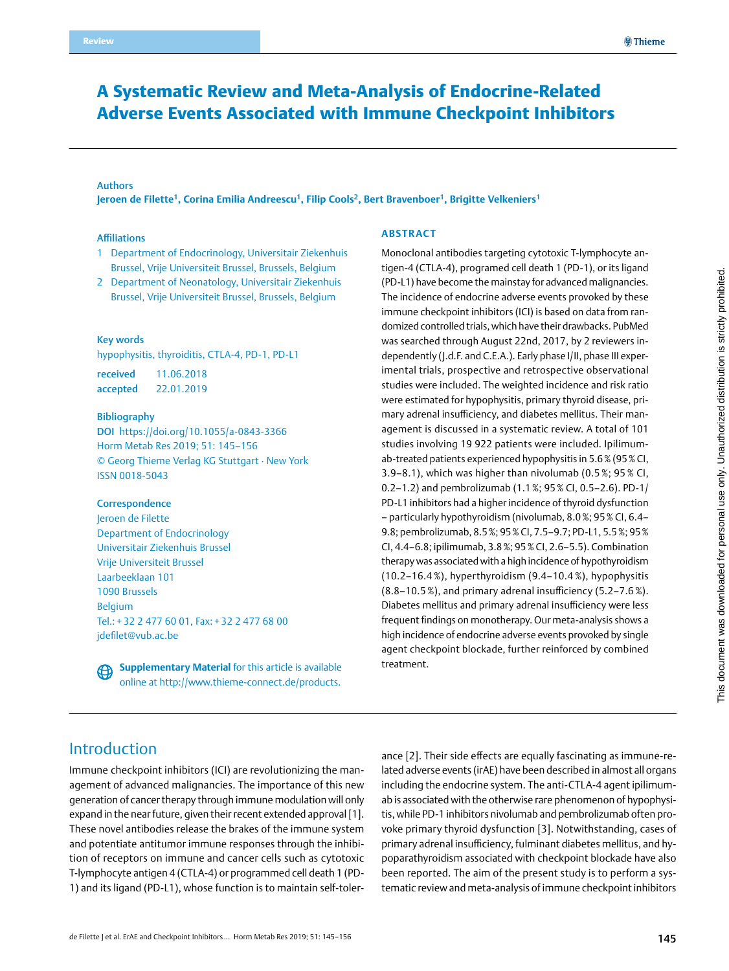# A Systematic Review and Meta-Analysis of Endocrine-Related Adverse Events Associated with Immune Checkpoint Inhibitors

#### Authors

**Jeroen de Filette1, Corina Emilia Andreescu1, Filip Cools2, Bert Bravenboer1, Brigitte Velkeniers1**

#### Affiliations

- 1 Department of Endocrinology, Universitair Ziekenhuis Brussel, Vrije Universiteit Brussel, Brussels, Belgium
- 2 Department of Neonatology, Universitair Ziekenhuis Brussel, Vrije Universiteit Brussel, Brussels, Belgium

#### Key words

hypophysitis, thyroiditis, CTLA-4, PD-1, PD-L1

received 11.06.2018 accepted 22.01.2019

#### Bibliography

DOI https://doi.org/10.1055/a-0843-3366 Horm Metab Res 2019; 51: 145–156 © Georg Thieme Verlag KG Stuttgart · New York ISSN 0018-5043

#### **Correspondence**

Jeroen de Filette Department of Endocrinology Universitair Ziekenhuis Brussel Vrije Universiteit Brussel Laarbeeklaan 101 1090 Brussels Belgium Tel.: + 32 2 477 60 01, Fax: + 32 2 477 68 00 [jdefilet@vub.ac.be](mailto:jdefilet@vub.ac.be)

**Supplementary Material** for this article is available ⊕ online at http://www.thieme-connect.de/products.

#### **Abstract**

Monoclonal antibodies targeting cytotoxic T-lymphocyte antigen-4 (CTLA-4), programed cell death 1 (PD-1), or its ligand (PD-L1) have become the mainstay for advanced malignancies. The incidence of endocrine adverse events provoked by these immune checkpoint inhibitors (ICI) is based on data from randomized controlled trials, which have their drawbacks. PubMed was searched through August 22nd, 2017, by 2 reviewers independently (J.d.F. and C.E.A.). Early phase I/II, phase III experimental trials, prospective and retrospective observational studies were included. The weighted incidence and risk ratio were estimated for hypophysitis, primary thyroid disease, primary adrenal insufficiency, and diabetes mellitus. Their management is discussed in a systematic review. A total of 101 studies involving 19 922 patients were included. Ipilimumab-treated patients experienced hypophysitis in 5.6% (95% CI, 3.9–8.1), which was higher than nivolumab (0.5 %; 95 % CI, 0.2–1.2) and pembrolizumab (1.1%; 95% CI, 0.5–2.6). PD-1/ PD-L1 inhibitors had a higher incidence of thyroid dysfunction – particularly hypothyroidism (nivolumab, 8.0%; 95% CI, 6.4– 9.8; pembrolizumab, 8.5%; 95% CI, 7.5–9.7; PD-L1, 5.5%; 95% CI, 4.4–6.8; ipilimumab, 3.8%; 95% CI, 2.6–5.5). Combination therapy was associated with a high incidence of hypothyroidism (10.2–16.4 %), hyperthyroidism (9.4–10.4 %), hypophysitis (8.8–10.5 %), and primary adrenal insufficiency (5.2–7.6 %). Diabetes mellitus and primary adrenal insufficiency were less frequent findings on monotherapy. Our meta-analysis shows a high incidence of endocrine adverse events provoked by single agent checkpoint blockade, further reinforced by combined treatment.

# Introduction

Immune checkpoint inhibitors (ICI) are revolutionizing the management of advanced malignancies. The importance of this new generation of cancer therapy through immune modulation will only expand in the near future, given their recent extended approval [1]. These novel antibodies release the brakes of the immune system and potentiate antitumor immune responses through the inhibition of receptors on immune and cancer cells such as cytotoxic T-lymphocyte antigen 4 (CTLA-4) or programmed cell death 1 (PD-1) and its ligand (PD-L1), whose function is to maintain self-tolerance [2]. Their side effects are equally fascinating as immune-related adverse events (irAE) have been described in almost all organs including the endocrine system. The anti-CTLA-4 agent ipilimumab is associated with the otherwise rare phenomenon of hypophysitis, while PD-1 inhibitors nivolumab and pembrolizumab often provoke primary thyroid dysfunction [3]. Notwithstanding, cases of primary adrenal insufficiency, fulminant diabetes mellitus, and hypoparathyroidism associated with checkpoint blockade have also been reported. The aim of the present study is to perform a systematic review and meta-analysis of immune checkpoint inhibitors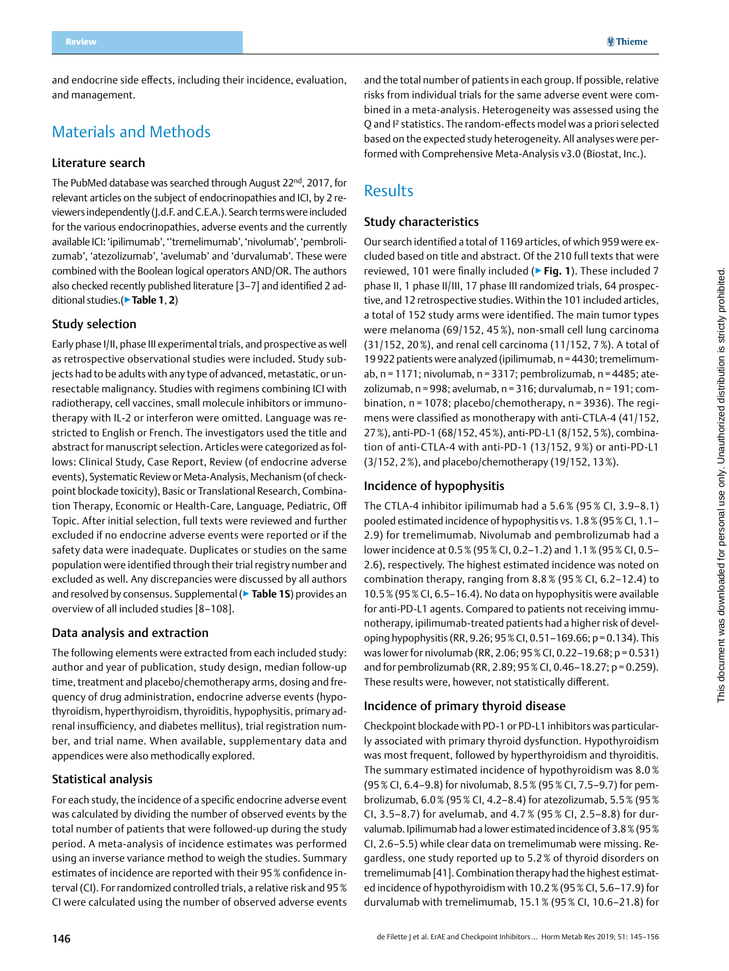and endocrine side effects, including their incidence, evaluation, and management.

# Materials and Methods

### Literature search

The PubMed database was searched through August 22<sup>nd</sup>, 2017, for relevant articles on the subject of endocrinopathies and ICI, by 2 reviewers independently (J.d.F. and C.E.A.). Search terms were included for the various endocrinopathies, adverse events and the currently available ICI: 'ipilimumab', ''tremelimumab', 'nivolumab', 'pembrolizumab', 'atezolizumab', 'avelumab' and 'durvalumab'. These were combined with the Boolean logical operators AND/OR. The authors also checked recently published literature [3–7] and identified 2 additional studies.(▶**Table 1**, **2**)

## Study selection

Early phase I/II, phase III experimental trials, and prospective as well as retrospective observational studies were included. Study subjects had to be adults with any type of advanced, metastatic, or unresectable malignancy. Studies with regimens combining ICI with radiotherapy, cell vaccines, small molecule inhibitors or immunotherapy with IL-2 or interferon were omitted. Language was restricted to English or French. The investigators used the title and abstract for manuscript selection. Articles were categorized as follows: Clinical Study, Case Report, Review (of endocrine adverse events), Systematic Review or Meta-Analysis, Mechanism (of checkpoint blockade toxicity), Basic or Translational Research, Combination Therapy, Economic or Health-Care, Language, Pediatric, Off Topic. After initial selection, full texts were reviewed and further excluded if no endocrine adverse events were reported or if the safety data were inadequate. Duplicates or studies on the same population were identified through their trial registry number and excluded as well. Any discrepancies were discussed by all authors and resolved by consensus. Supplemental (▶**Table 1S**) provides an overview of all included studies [8–108].

#### Data analysis and extraction

The following elements were extracted from each included study: author and year of publication, study design, median follow-up time, treatment and placebo/chemotherapy arms, dosing and frequency of drug administration, endocrine adverse events (hypothyroidism, hyperthyroidism, thyroiditis, hypophysitis, primary adrenal insufficiency, and diabetes mellitus), trial registration number, and trial name. When available, supplementary data and appendices were also methodically explored.

### Statistical analysis

For each study, the incidence of a specific endocrine adverse event was calculated by dividing the number of observed events by the total number of patients that were followed-up during the study period. A meta-analysis of incidence estimates was performed using an inverse variance method to weigh the studies. Summary estimates of incidence are reported with their 95% confidence interval (CI). For randomized controlled trials, a relative risk and 95% CI were calculated using the number of observed adverse events

and the total number of patients in each group. If possible, relative risks from individual trials for the same adverse event were combined in a meta-analysis. Heterogeneity was assessed using the Q and I² statistics. The random-effects model was a priori selected based on the expected study heterogeneity. All analyses were performed with Comprehensive Meta-Analysis v3.0 (Biostat, Inc.).

# Results

### Study characteristics

Our search identified a total of 1169 articles, of which 959 were excluded based on title and abstract. Of the 210 full texts that were reviewed, 101 were finally included (▶**Fig. 1**). These included 7 phase II, 1 phase II/III, 17 phase III randomized trials, 64 prospective, and 12 retrospective studies. Within the 101 included articles, a total of 152 study arms were identified. The main tumor types were melanoma (69/152, 45 %), non-small cell lung carcinoma (31/152, 20%), and renal cell carcinoma (11/152, 7%). A total of 19 922 patients were analyzed (ipilimumab, n=4430; tremelimumab, n = 1171; nivolumab, n = 3317; pembrolizumab, n = 4485; atezolizumab, n = 998; avelumab, n = 316; durvalumab, n = 191; combination, n = 1078; placebo/chemotherapy, n = 3936). The regimens were classified as monotherapy with anti-CTLA-4 (41/152, 27%), anti-PD-1 (68/152, 45%), anti-PD-L1 (8/152, 5%), combination of anti-CTLA-4 with anti-PD-1 (13/152, 9 %) or anti-PD-L1 (3/152, 2%), and placebo/chemotherapy (19/152, 13%).

### Incidence of hypophysitis

The CTLA-4 inhibitor ipilimumab had a 5.6 % (95 % CI, 3.9–8.1) pooled estimated incidence of hypophysitis vs. 1.8% (95% CI, 1.1– 2.9) for tremelimumab. Nivolumab and pembrolizumab had a lower incidence at 0.5% (95% CI, 0.2–1.2) and 1.1% (95% CI, 0.5– 2.6), respectively. The highest estimated incidence was noted on combination therapy, ranging from 8.8 % (95 % CI, 6.2–12.4) to 10.5% (95% CI, 6.5–16.4). No data on hypophysitis were available for anti-PD-L1 agents. Compared to patients not receiving immunotherapy, ipilimumab-treated patients had a higher risk of developing hypophysitis (RR, 9.26; 95% CI, 0.51–169.66; p=0.134). This was lower for nivolumab (RR, 2.06; 95% CI, 0.22–19.68; p= 0.531) and for pembrolizumab (RR, 2.89; 95% CI, 0.46–18.27; p = 0.259). These results were, however, not statistically different.

### Incidence of primary thyroid disease

Checkpoint blockade with PD-1 or PD-L1 inhibitors was particularly associated with primary thyroid dysfunction. Hypothyroidism was most frequent, followed by hyperthyroidism and thyroiditis. The summary estimated incidence of hypothyroidism was 8.0 % (95% CI, 6.4–9.8) for nivolumab, 8.5% (95% CI, 7.5–9.7) for pembrolizumab, 6.0% (95% CI, 4.2–8.4) for atezolizumab, 5.5% (95% CI, 3.5–8.7) for avelumab, and 4.7 % (95 % CI, 2.5–8.8) for durvalumab. Ipilimumab had a lower estimated incidence of 3.8% (95% CI, 2.6–5.5) while clear data on tremelimumab were missing. Regardless, one study reported up to 5.2 % of thyroid disorders on tremelimumab [41]. Combination therapy had the highest estimated incidence of hypothyroidism with 10.2% (95% CI, 5.6–17.9) for durvalumab with tremelimumab, 15.1% (95% CI, 10.6–21.8) for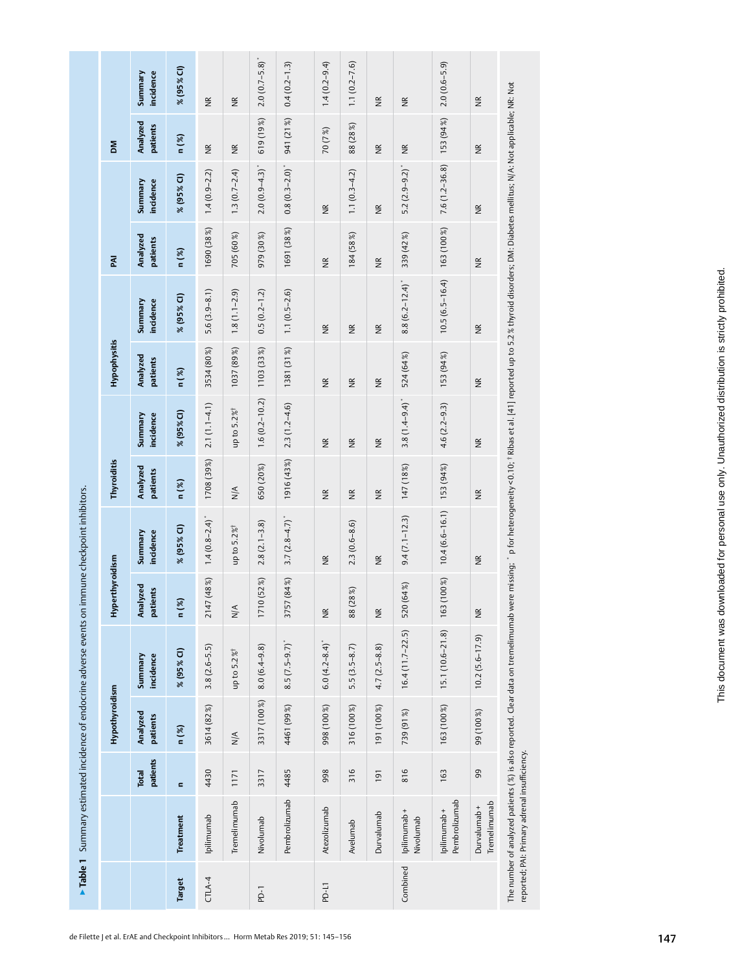▶ Table 1 Summary estimated incidence of endocrine adverse events on immune checkpoint inhibitors. ▶**Table 1** Summary estimated incidence of endocrine adverse events on immune checkpoint inhibitors.

|                   |                              |                   | Hypothyroidism       |                                                                                                                                                                                                                                | Hyperthyroidism      |                         | Thyroiditis            |                        | Hypophysitis           |                         | <b>RAI</b>           |                      | ΣÑ                      |                      |
|-------------------|------------------------------|-------------------|----------------------|--------------------------------------------------------------------------------------------------------------------------------------------------------------------------------------------------------------------------------|----------------------|-------------------------|------------------------|------------------------|------------------------|-------------------------|----------------------|----------------------|-------------------------|----------------------|
|                   |                              | patients<br>Total | Analyzed<br>patients | Summary<br>incidence                                                                                                                                                                                                           | Analyzed<br>patients | Summary<br>incidence    | Analyzed<br>patients   | incidence<br>Summary   | Analyzed<br>patients   | Summary<br>incidence    | Analyzed<br>patients | Summary<br>incidence | Analyzed<br>patients    | Summary<br>incidence |
| Target            | <b>Treatment</b>             | $\blacksquare$    | n(%)                 | % (95% CI)                                                                                                                                                                                                                     | n(%)                 | % (95% CI)              | n(%)                   | % (95% CI)             | n(%)                   | % (95% CI)              | n(%)                 | % (95% CI)           | n(%)                    | % (95 % CI)          |
| CTLA-4            | lpilimumab                   | 4430              | 3614 (82%)           | $3.8(2.6 - 5.5)$                                                                                                                                                                                                               | (48%)<br>2147        | $1.4(0.8-2.4)$          | 1708 (39%)             | $2.1(1.1-4.1)$         | 3534 (80%)             | $5.6(3.9-8.1)$          | 1690 (38%)           | $1.4(0.9 - 2.2)$     | $\widetilde{\Xi}$       | $\widetilde{\Xi}$    |
|                   | Tremelimumab                 | 1171              | $\frac{1}{N}$        | up to 5.2% <sup>†</sup>                                                                                                                                                                                                        | $\frac{4}{\sqrt{2}}$ | up to 5.2% <sup>†</sup> | $\frac{4}{\sqrt{2}}$   | up to 5.2%             | 1037 (89%)             | $1.8(1.1-2.9)$          | 705 (60%)            | $1.3(0.7 - 2.4)$     | $\frac{\alpha}{\alpha}$ | $\widetilde{\Xi}$    |
| $\overline{P}$ -1 | Nivolumab                    | 3317              | 3317 (100%)          | $8.0(6.4 - 9.8)$                                                                                                                                                                                                               | (52%)<br>1710        | $2.8(2.1-3.8)$          | 650 (20%)              | $1.6(0.2 - 10.2)$      | 1103 (33%)             | $0.5(0.2 - 1.2)$        | 979 (30%)            | $2.0(0.9 - 4.3)^{*}$ | 619 (19%)               | $2.0(0.7 - 5.8)^{*}$ |
|                   | Pembrolizumab                | 4485              | 4461 (99%)           | $8.5(7.5-9.7)$                                                                                                                                                                                                                 | (84%<br>3757         | $3.7(2.8-4.7)$          | 1916 (43%)             | $2.3(1.2 - 4.6)$       | 1381 (31%)             | $1.1(0.5-2.6)$          | 1691 (38%)           | $0.8(0.3 - 2.0)^*$   | 941 (21%)               | $0.4(0.2 - 1.3)$     |
| PD-L1             | Atezolizumab                 | 998               | 998 (100%)           | $6.0(4.2 - 8.4)^{*}$                                                                                                                                                                                                           | $\frac{\kappa}{2}$   | $\frac{\kappa}{2}$      | $\widetilde{\Xi}$      | $\widetilde{\Xi}$      | $\widetilde{\Xi}$      | $\frac{\kappa}{2}$      | $\frac{\kappa}{2}$   | $\frac{\kappa}{2}$   | 70 (7%)                 | $1.4(0.2 - 9.4)$     |
|                   | Avelumab                     | 316               | 316 (100%)           | $5.5(3.5-8.7)$                                                                                                                                                                                                                 | 88 (28%)             | $2.3(0.6-8.6)$          | $\frac{\alpha}{\beta}$ | $\frac{\alpha}{\beta}$ | $\frac{\alpha}{\beta}$ | $\frac{R}{Z}$           | 184 (58%)            | $1.1(0.3-4.2)$       | 88 (28%)                | $1.1(0.2 - 7.6)$     |
|                   | Durvalumab                   | 191               | 191 (100%)           | $4.7(2.5-8.8)$                                                                                                                                                                                                                 | $\widetilde{\Xi}$    | $\frac{R}{R}$           | $\frac{R}{Z}$          | $\widetilde{\Xi}$      | $\widetilde{\Xi}$      | $\frac{\alpha}{\alpha}$ | $\widetilde{\Xi}$    | $\widetilde{B}$      | $\widetilde{\Xi}$       | $\widetilde{\Xi}$    |
| Combined          | lpilimumab+<br>Nivolumab     | 816               | 739 (91%)            | $16.4(11.7-22.5)$                                                                                                                                                                                                              | 520 (64%)            | $9.4(7.1 - 12.3)$       | 147 (18%)              | $3.8(1.4 - 9.4)^*$     | 524 (64%)              | $8.8(6.2 - 12.4)^{*}$   | 339 (42%)            | $5.2(2.9-9.2)^{*}$   | $\frac{\alpha}{\alpha}$ | $\widetilde{\Xi}$    |
|                   | Pembrolizumab<br>lpilimumab+ | 163               | 163 (100%)           | $15.1(10.6 - 21.8)$                                                                                                                                                                                                            | $(100\%)$<br>163(    | $10.4(6.6 - 16.1)$      | 153 (94%)              | $4.6(2.2 - 9.3)$       | 153 (94%)              | $10.5(6.5 - 16.4)$      | 163 (100%)           | $7.6(1.2 - 36.8)$    | 153 (94%)               | $2.0(0.6 - 5.9)$     |
|                   | Tremelimumab<br>Durvalumab + | 99                | 99 (100%)            | $10.2(5.6 - 17.9)$                                                                                                                                                                                                             | $\widetilde{\Xi}$    | $\widetilde{\Xi}$       | $\widetilde{\Xi}$      | $\widetilde{\Xi}$      | $\widetilde{\Xi}$      | $\widetilde{\Xi}$       | $\widetilde{\Xi}$    | $\widetilde{\Xi}$    | $\widetilde{\Xi}$       | $\widetilde{\Xi}$    |
|                   |                              |                   |                      | The number of analyzed patients (%) is also reported. Clear data on tremelimumab were missing; bfor heterogeneity <0.10; f Ribas et al. [41] reported up to 5.2% thyroid disorders; DM: Diabetes mellitus; N/A: Not applicable |                      |                         |                        |                        |                        |                         |                      |                      |                         |                      |

reported; PAI: Primary adrenal insufficiency. reported; PAI: Primary adrenal insufficiency.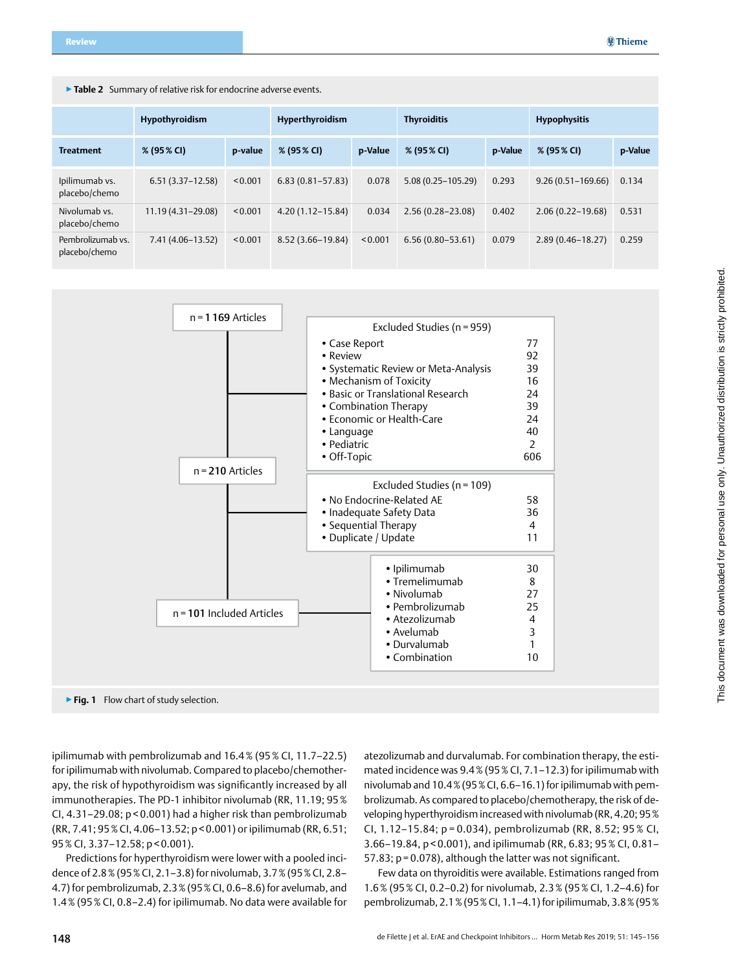|  |  |  |  | Table 2 Summary of relative risk for endocrine adverse events. |
|--|--|--|--|----------------------------------------------------------------|
|--|--|--|--|----------------------------------------------------------------|

|                                    | Hypothyroidism     |         |                      | Hyperthyroidism |                       | <b>Thyroiditis</b> |                       |         |
|------------------------------------|--------------------|---------|----------------------|-----------------|-----------------------|--------------------|-----------------------|---------|
| <b>Treatment</b>                   | % (95% CI)         | p-value | % (95 % CI)          | p-Value         | % (95% CI)            | p-Value            | % (95% CI)            | p-Value |
| Ipilimumab vs.<br>placebo/chemo    | $6.51(3.37-12.58)$ | < 0.001 | $6.83(0.81 - 57.83)$ | 0.078           | $5.08(0.25 - 105.29)$ | 0.293              | $9.26(0.51 - 169.66)$ | 0.134   |
| Nivolumab vs.<br>placebo/chemo     | 11.19 (4.31-29.08) | < 0.001 | $4.20(1.12 - 15.84)$ | 0.034           | $2.56(0.28 - 23.08)$  | 0.402              | $2.06(0.22 - 19.68)$  | 0.531   |
| Pembrolizumab vs.<br>placebo/chemo | $7.41(4.06-13.52)$ | < 0.001 | 8.52 (3.66–19.84)    | < 0.001         | $6.56(0.80 - 53.61)$  | 0.079              | $2.89(0.46 - 18.27)$  | 0.259   |



▶ Fig. 1 Flow chart of study selection.

ipilimumab with pembrolizumab and 16.4% (95% CI, 11.7–22.5) for ipilimumab with nivolumab. Compared to placebo/chemotherapy, the risk of hypothyroidism was significantly increased by all immunotherapies. The PD-1 inhibitor nivolumab (RR, 11.19; 95% CI, 4.31–29.08; p < 0.001) had a higher risk than pembrolizumab (RR, 7.41; 95% CI, 4.06–13.52; p < 0.001) or ipilimumab (RR, 6.51; 95% CI, 3.37–12.58; p < 0.001).

Predictions for hyperthyroidism were lower with a pooled incidence of 2.8% (95% CI, 2.1–3.8) for nivolumab, 3.7% (95% CI, 2.8– 4.7) for pembrolizumab, 2.3% (95% CI, 0.6–8.6) for avelumab, and 1.4% (95% CI, 0.8–2.4) for ipilimumab. No data were available for

atezolizumab and durvalumab. For combination therapy, the estimated incidence was 9.4% (95% CI, 7.1–12.3) for ipilimumab with nivolumab and 10.4% (95% CI, 6.6–16.1) for ipilimumab with pembrolizumab. As compared to placebo/chemotherapy, the risk of developing hyperthyroidism increased with nivolumab (RR, 4.20; 95% CI, 1.12–15.84; p = 0.034), pembrolizumab (RR, 8.52; 95 % CI, 3.66–19.84, p < 0.001), and ipilimumab (RR, 6.83; 95% CI, 0.81– 57.83; p = 0.078), although the latter was not significant.

Few data on thyroiditis were available. Estimations ranged from 1.6% (95% CI, 0.2–0.2) for nivolumab, 2.3% (95% CI, 1.2–4.6) for pembrolizumab, 2.1% (95% CI, 1.1–4.1) for ipilimumab, 3.8% (95%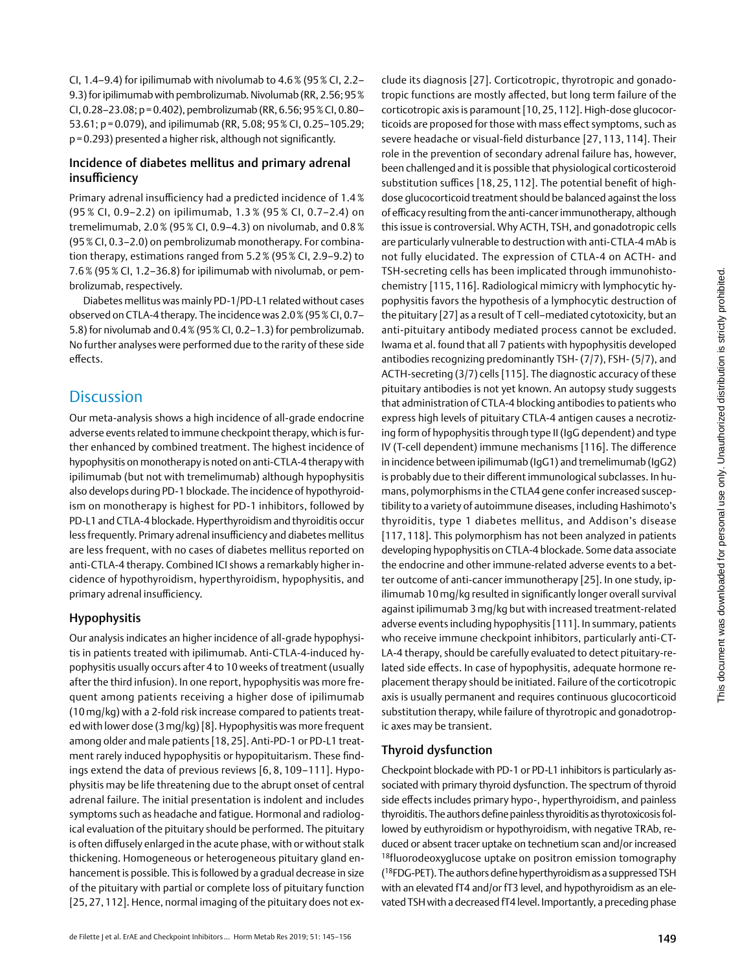CI, 1.4–9.4) for ipilimumab with nivolumab to 4.6% (95% CI, 2.2– 9.3) for ipilimumab with pembrolizumab. Nivolumab (RR, 2.56; 95% CI, 0.28–23.08; p=0.402), pembrolizumab (RR, 6.56; 95% CI, 0.80– 53.61; p=0.079), and ipilimumab (RR, 5.08; 95% CI, 0.25–105.29; p=0.293) presented a higher risk, although not significantly.

## Incidence of diabetes mellitus and primary adrenal insufficiency

Primary adrenal insufficiency had a predicted incidence of 1.4 % (95 % CI, 0.9–2.2) on ipilimumab, 1.3 % (95 % CI, 0.7–2.4) on tremelimumab, 2.0% (95% CI, 0.9–4.3) on nivolumab, and 0.8% (95% CI, 0.3–2.0) on pembrolizumab monotherapy. For combination therapy, estimations ranged from 5.2% (95% CI, 2.9–9.2) to 7.6% (95% CI, 1.2–36.8) for ipilimumab with nivolumab, or pembrolizumab, respectively.

Diabetes mellitus was mainly PD-1/PD-L1 related without cases observed on CTLA-4 therapy. The incidence was 2.0% (95% CI, 0.7– 5.8) for nivolumab and 0.4% (95% CI, 0.2–1.3) for pembrolizumab. No further analyses were performed due to the rarity of these side effects.

# **Discussion**

Our meta-analysis shows a high incidence of all-grade endocrine adverse events related to immune checkpoint therapy, which is further enhanced by combined treatment. The highest incidence of hypophysitis on monotherapy is noted on anti-CTLA-4 therapy with ipilimumab (but not with tremelimumab) although hypophysitis also develops during PD-1 blockade. The incidence of hypothyroidism on monotherapy is highest for PD-1 inhibitors, followed by PD-L1 and CTLA-4 blockade. Hyperthyroidism and thyroiditis occur less frequently. Primary adrenal insufficiency and diabetes mellitus are less frequent, with no cases of diabetes mellitus reported on anti-CTLA-4 therapy. Combined ICI shows a remarkably higher incidence of hypothyroidism, hyperthyroidism, hypophysitis, and primary adrenal insufficiency.

# Hypophysitis

Our analysis indicates an higher incidence of all-grade hypophysitis in patients treated with ipilimumab. Anti-CTLA-4-induced hypophysitis usually occurs after 4 to 10 weeks of treatment (usually after the third infusion). In one report, hypophysitis was more frequent among patients receiving a higher dose of ipilimumab (10mg/kg) with a 2-fold risk increase compared to patients treated with lower dose (3mg/kg) [8]. Hypophysitis was more frequent among older and male patients [18, 25]. Anti-PD-1 or PD-L1 treatment rarely induced hypophysitis or hypopituitarism. These findings extend the data of previous reviews [6, 8, 109–111]. Hypophysitis may be life threatening due to the abrupt onset of central adrenal failure. The initial presentation is indolent and includes symptoms such as headache and fatigue. Hormonal and radiological evaluation of the pituitary should be performed. The pituitary is often diffusely enlarged in the acute phase, with or without stalk thickening. Homogeneous or heterogeneous pituitary gland enhancement is possible. This is followed by a gradual decrease in size of the pituitary with partial or complete loss of pituitary function [25, 27, 112]. Hence, normal imaging of the pituitary does not exclude its diagnosis [27]. Corticotropic, thyrotropic and gonadotropic functions are mostly affected, but long term failure of the corticotropic axis is paramount [10, 25, 112]. High-dose glucocorticoids are proposed for those with mass effect symptoms, such as severe headache or visual-field disturbance [27, 113, 114]. Their role in the prevention of secondary adrenal failure has, however, been challenged and it is possible that physiological corticosteroid substitution suffices [18, 25, 112]. The potential benefit of highdose glucocorticoid treatment should be balanced against the loss of efficacy resulting from the anti-cancer immunotherapy, although this issue is controversial. Why ACTH, TSH, and gonadotropic cells are particularly vulnerable to destruction with anti-CTLA-4 mAb is not fully elucidated. The expression of CTLA-4 on ACTH- and TSH-secreting cells has been implicated through immunohistochemistry [115, 116]. Radiological mimicry with lymphocytic hypophysitis favors the hypothesis of a lymphocytic destruction of the pituitary [27] as a result of T cell–mediated cytotoxicity, but an anti-pituitary antibody mediated process cannot be excluded. Iwama et al. found that all 7 patients with hypophysitis developed antibodies recognizing predominantly TSH- (7/7), FSH- (5/7), and ACTH-secreting (3/7) cells [115]. The diagnostic accuracy of these pituitary antibodies is not yet known. An autopsy study suggests that administration of CTLA-4 blocking antibodies to patients who express high levels of pituitary CTLA-4 antigen causes a necrotizing form of hypophysitis through type II (IgG dependent) and type IV (T-cell dependent) immune mechanisms [116]. The difference in incidence between ipilimumab (IgG1) and tremelimumab (IgG2) is probably due to their different immunological subclasses. In humans, polymorphisms in the CTLA4 gene confer increased susceptibility to a variety of autoimmune diseases, including Hashimoto's thyroiditis, type 1 diabetes mellitus, and Addison's disease [117, 118]. This polymorphism has not been analyzed in patients developing hypophysitis on CTLA-4 blockade. Some data associate the endocrine and other immune-related adverse events to a better outcome of anti-cancer immunotherapy [25]. In one study, ipilimumab 10 mg/kg resulted in significantly longer overall survival against ipilimumab 3 mg/kg but with increased treatment-related adverse events including hypophysitis [111]. In summary, patients who receive immune checkpoint inhibitors, particularly anti-CT-LA-4 therapy, should be carefully evaluated to detect pituitary-related side effects. In case of hypophysitis, adequate hormone replacement therapy should be initiated. Failure of the corticotropic axis is usually permanent and requires continuous glucocorticoid substitution therapy, while failure of thyrotropic and gonadotropic axes may be transient.

# Thyroid dysfunction

Checkpoint blockade with PD-1 or PD-L1 inhibitors is particularly associated with primary thyroid dysfunction. The spectrum of thyroid side effects includes primary hypo-, hyperthyroidism, and painless thyroiditis. The authors define painless thyroiditis as thyrotoxicosis followed by euthyroidism or hypothyroidism, with negative TRAb, reduced or absent tracer uptake on technetium scan and/or increased <sup>18</sup>fluorodeoxyglucose uptake on positron emission tomography (18FDG-PET). The authors define hyperthyroidism as a suppressed TSH with an elevated fT4 and/or fT3 level, and hypothyroidism as an elevated TSH with a decreased fT4 level. Importantly, a preceding phase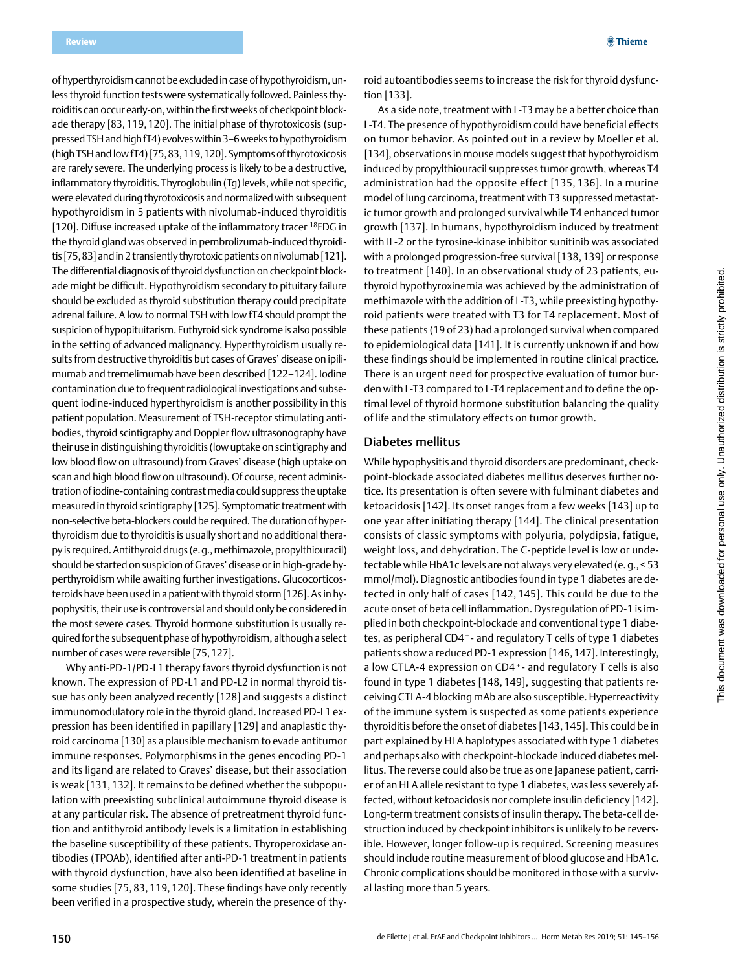of hyperthyroidism cannot be excluded in case of hypothyroidism, unless thyroid function tests were systematically followed. Painless thyroiditis can occur early-on, within the first weeks of checkpoint blockade therapy [83,119,120]. The initial phase of thyrotoxicosis (suppressed TSH and high fT4) evolves within 3–6 weeks to hypothyroidism (high TSH and low fT4) [75,83,119,120]. Symptoms of thyrotoxicosis are rarely severe. The underlying process is likely to be a destructive, inflammatory thyroiditis. Thyroglobulin (Tg) levels, while not specific, were elevated during thyrotoxicosis and normalized with subsequent hypothyroidism in 5 patients with nivolumab-induced thyroiditis [120]. Diffuse increased uptake of the inflammatory tracer <sup>18</sup>FDG in the thyroid gland was observed in pembrolizumab-induced thyroiditis [75,83] and in 2 transiently thyrotoxic patients on nivolumab [121]. The differential diagnosis of thyroid dysfunction on checkpoint blockade might be difficult. Hypothyroidism secondary to pituitary failure should be excluded as thyroid substitution therapy could precipitate adrenal failure. A low to normal TSH with low fT4 should prompt the suspicion of hypopituitarism. Euthyroid sick syndrome is also possible in the setting of advanced malignancy. Hyperthyroidism usually results from destructive thyroiditis but cases of Graves' disease on ipilimumab and tremelimumab have been described [122–124]. Iodine contamination due to frequent radiological investigations and subsequent iodine-induced hyperthyroidism is another possibility in this patient population. Measurement of TSH-receptor stimulating antibodies, thyroid scintigraphy and Doppler flow ultrasonography have their use in distinguishing thyroiditis (low uptake on scintigraphy and low blood flow on ultrasound) from Graves' disease (high uptake on scan and high blood flow on ultrasound). Of course, recent administration of iodine-containing contrast media could suppress the uptake measured in thyroid scintigraphy [125]. Symptomatic treatment with non-selective beta-blockers could be required. The duration of hyperthyroidism due to thyroiditis is usually short and no additional therapy is required. Antithyroid drugs (e.g., methimazole, propylthiouracil) should be started on suspicion of Graves' disease or in high-grade hyperthyroidism while awaiting further investigations. Glucocorticosteroids have been used in a patient with thyroid storm [126]. As in hypophysitis, their use is controversial and should only be considered in the most severe cases. Thyroid hormone substitution is usually required for the subsequent phase of hypothyroidism, although a select number of cases were reversible [75,127].

Why anti-PD-1/PD-L1 therapy favors thyroid dysfunction is not known. The expression of PD-L1 and PD-L2 in normal thyroid tissue has only been analyzed recently [128] and suggests a distinct immunomodulatory role in the thyroid gland. Increased PD-L1 expression has been identified in papillary [129] and anaplastic thyroid carcinoma [130] as a plausible mechanism to evade antitumor immune responses. Polymorphisms in the genes encoding PD-1 and its ligand are related to Graves' disease, but their association is weak [131, 132]. It remains to be defined whether the subpopulation with preexisting subclinical autoimmune thyroid disease is at any particular risk. The absence of pretreatment thyroid function and antithyroid antibody levels is a limitation in establishing the baseline susceptibility of these patients. Thyroperoxidase antibodies (TPOAb), identified after anti-PD-1 treatment in patients with thyroid dysfunction, have also been identified at baseline in some studies [75, 83, 119, 120]. These findings have only recently been verified in a prospective study, wherein the presence of thy-

roid autoantibodies seems to increase the risk for thyroid dysfunction [133].

As a side note, treatment with L-T3 may be a better choice than L-T4. The presence of hypothyroidism could have beneficial effects on tumor behavior. As pointed out in a review by Moeller et al. [134], observations in mouse models suggest that hypothyroidism induced by propylthiouracil suppresses tumor growth, whereas T4 administration had the opposite effect [135, 136]. In a murine model of lung carcinoma, treatment with T3 suppressed metastatic tumor growth and prolonged survival while T4 enhanced tumor growth [137]. In humans, hypothyroidism induced by treatment with IL-2 or the tyrosine-kinase inhibitor sunitinib was associated with a prolonged progression-free survival [138, 139] or response to treatment [140]. In an observational study of 23 patients, euthyroid hypothyroxinemia was achieved by the administration of methimazole with the addition of L-T3, while preexisting hypothyroid patients were treated with T3 for T4 replacement. Most of these patients (19 of 23) had a prolonged survival when compared to epidemiological data [141]. It is currently unknown if and how these findings should be implemented in routine clinical practice. There is an urgent need for prospective evaluation of tumor burden with L-T3 compared to L-T4 replacement and to define the optimal level of thyroid hormone substitution balancing the quality of life and the stimulatory effects on tumor growth.

#### Diabetes mellitus

While hypophysitis and thyroid disorders are predominant, checkpoint-blockade associated diabetes mellitus deserves further notice. Its presentation is often severe with fulminant diabetes and ketoacidosis [142]. Its onset ranges from a few weeks [143] up to one year after initiating therapy [144]. The clinical presentation consists of classic symptoms with polyuria, polydipsia, fatigue, weight loss, and dehydration. The C-peptide level is low or undetectable while HbA1c levels are not always very elevated (e. g., <53 mmol/mol). Diagnostic antibodies found in type 1 diabetes are detected in only half of cases [142, 145]. This could be due to the acute onset of beta cell inflammation. Dysregulation of PD-1 is implied in both checkpoint-blockade and conventional type 1 diabetes, as peripheral CD4<sup>+</sup>- and regulatory T cells of type 1 diabetes patients show a reduced PD-1 expression [146,147]. Interestingly, a low CTLA-4 expression on CD4<sup>+</sup>- and regulatory T cells is also found in type 1 diabetes [148, 149], suggesting that patients receiving CTLA-4 blocking mAb are also susceptible. Hyperreactivity of the immune system is suspected as some patients experience thyroiditis before the onset of diabetes [143,145]. This could be in part explained by HLA haplotypes associated with type 1 diabetes and perhaps also with checkpoint-blockade induced diabetes mellitus. The reverse could also be true as one Japanese patient, carrier of an HLA allele resistant to type 1 diabetes, was less severely affected, without ketoacidosis nor complete insulin deficiency [142]. Long-term treatment consists of insulin therapy. The beta-cell destruction induced by checkpoint inhibitors is unlikely to be reversible. However, longer follow-up is required. Screening measures should include routine measurement of blood glucose and HbA1c. Chronic complications should be monitored in those with a survival lasting more than 5 years.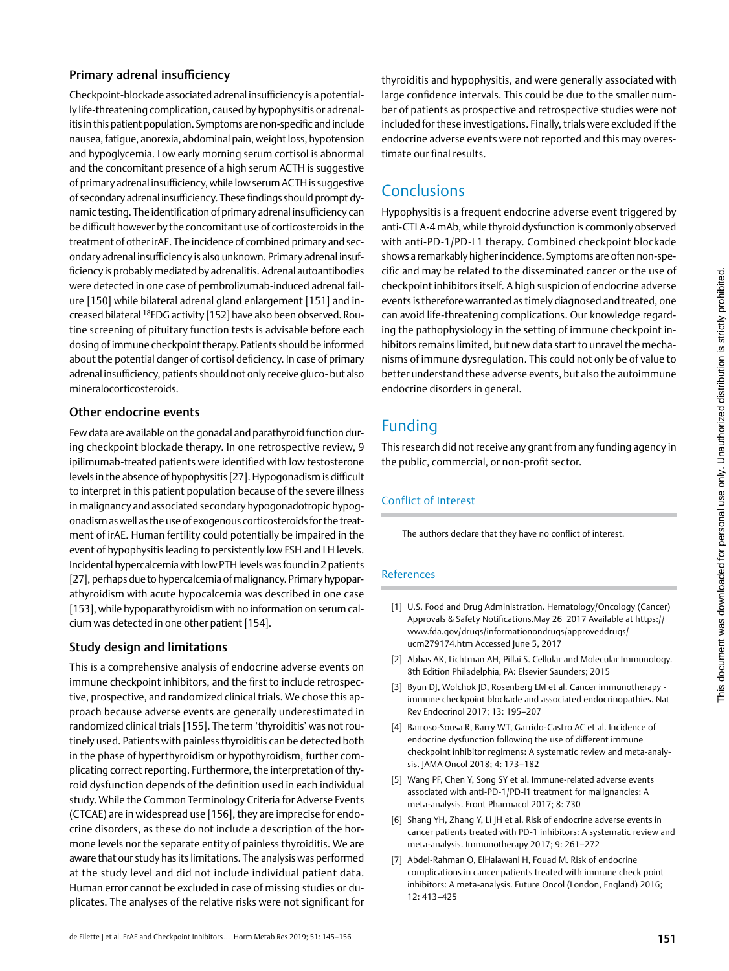## Primary adrenal insufficiency

Checkpoint-blockade associated adrenal insufficiency is a potentially life-threatening complication, caused by hypophysitis or adrenalitis in this patient population. Symptoms are non-specific and include nausea, fatigue, anorexia, abdominal pain, weight loss, hypotension and hypoglycemia. Low early morning serum cortisol is abnormal and the concomitant presence of a high serum ACTH is suggestive of primary adrenal insufficiency, while low serum ACTH is suggestive of secondary adrenal insufficiency. These findings should prompt dynamic testing. The identification of primary adrenal insufficiency can be difficult however by the concomitant use of corticosteroids in the treatment of other irAE. The incidence of combined primary and secondary adrenal insufficiency is also unknown. Primary adrenal insufficiency is probably mediated by adrenalitis. Adrenal autoantibodies were detected in one case of pembrolizumab-induced adrenal failure [150] while bilateral adrenal gland enlargement [151] and increased bilateral 18FDG activity [152] have also been observed. Routine screening of pituitary function tests is advisable before each dosing of immune checkpoint therapy. Patients should be informed about the potential danger of cortisol deficiency. In case of primary adrenal insufficiency, patients should not only receive gluco- but also mineralocorticosteroids.

## Other endocrine events

Few data are available on the gonadal and parathyroid function during checkpoint blockade therapy. In one retrospective review, 9 ipilimumab-treated patients were identified with low testosterone levels in the absence of hypophysitis [27]. Hypogonadism is difficult to interpret in this patient population because of the severe illness in malignancy and associated secondary hypogonadotropic hypogonadism as well as the use of exogenous corticosteroids for the treatment of irAE. Human fertility could potentially be impaired in the event of hypophysitis leading to persistently low FSH and LH levels. Incidental hypercalcemia with low PTH levels was found in 2 patients [27], perhaps due to hypercalcemia of malignancy. Primary hypoparathyroidism with acute hypocalcemia was described in one case [153], while hypoparathyroidism with no information on serum calcium was detected in one other patient [154].

## Study design and limitations

This is a comprehensive analysis of endocrine adverse events on immune checkpoint inhibitors, and the first to include retrospective, prospective, and randomized clinical trials. We chose this approach because adverse events are generally underestimated in randomized clinical trials [155]. The term 'thyroiditis' was not routinely used. Patients with painless thyroiditis can be detected both in the phase of hyperthyroidism or hypothyroidism, further complicating correct reporting. Furthermore, the interpretation of thyroid dysfunction depends of the definition used in each individual study. While the Common Terminology Criteria for Adverse Events (CTCAE) are in widespread use [156], they are imprecise for endocrine disorders, as these do not include a description of the hormone levels nor the separate entity of painless thyroiditis. We are aware that our study has its limitations. The analysis was performed at the study level and did not include individual patient data. Human error cannot be excluded in case of missing studies or duplicates. The analyses of the relative risks were not significant for

thyroiditis and hypophysitis, and were generally associated with large confidence intervals. This could be due to the smaller number of patients as prospective and retrospective studies were not included for these investigations. Finally, trials were excluded if the endocrine adverse events were not reported and this may overestimate our final results.

# **Conclusions**

Hypophysitis is a frequent endocrine adverse event triggered by anti-CTLA-4 mAb, while thyroid dysfunction is commonly observed with anti-PD-1/PD-L1 therapy. Combined checkpoint blockade shows a remarkably higher incidence. Symptoms are often non-specific and may be related to the disseminated cancer or the use of checkpoint inhibitors itself. A high suspicion of endocrine adverse events is therefore warranted as timely diagnosed and treated, one can avoid life-threatening complications. Our knowledge regarding the pathophysiology in the setting of immune checkpoint inhibitors remains limited, but new data start to unravel the mechanisms of immune dysregulation. This could not only be of value to better understand these adverse events, but also the autoimmune endocrine disorders in general.

# Funding

This research did not receive any grant from any funding agency in the public, commercial, or non-profit sector.

# Conflict of Interest

The authors declare that they have no conflict of interest.

## References

- [1] U.S. Food and Drug Administration. Hematology/Oncology (Cancer) Approvals & Safety Notifications.May 26 2017 Available at [https://](http://https://www.fda.gov/drugs/informationondrugs/approveddrugs/ucm279174.htm) [www.fda.gov/drugs/informationondrugs/approveddrugs/](http://https://www.fda.gov/drugs/informationondrugs/approveddrugs/ucm279174.htm) [ucm279174.htm](http://https://www.fda.gov/drugs/informationondrugs/approveddrugs/ucm279174.htm) Accessed June 5, 2017
- [2] Abbas AK, Lichtman AH, Pillai S. Cellular and Molecular Immunology. 8th Edition Philadelphia, PA: Elsevier Saunders; 2015
- [3] Byun DJ, Wolchok JD, Rosenberg LM et al. Cancer immunotherapy immune checkpoint blockade and associated endocrinopathies. Nat Rev Endocrinol 2017; 13: 195–207
- [4] Barroso-Sousa R, Barry WT, Garrido-Castro AC et al. Incidence of endocrine dysfunction following the use of different immune checkpoint inhibitor regimens: A systematic review and meta-analysis. JAMA Oncol 2018; 4: 173–182
- [5] Wang PF, Chen Y, Song SY et al. Immune-related adverse events associated with anti-PD-1/PD-l1 treatment for malignancies: A meta-analysis. Front Pharmacol 2017; 8: 730
- [6] Shang YH, Zhang Y, Li JH et al. Risk of endocrine adverse events in cancer patients treated with PD-1 inhibitors: A systematic review and meta-analysis. Immunotherapy 2017; 9: 261–272
- [7] Abdel-Rahman O, ElHalawani H, Fouad M. Risk of endocrine complications in cancer patients treated with immune check point inhibitors: A meta-analysis. Future Oncol (London, England) 2016; 12: 413–425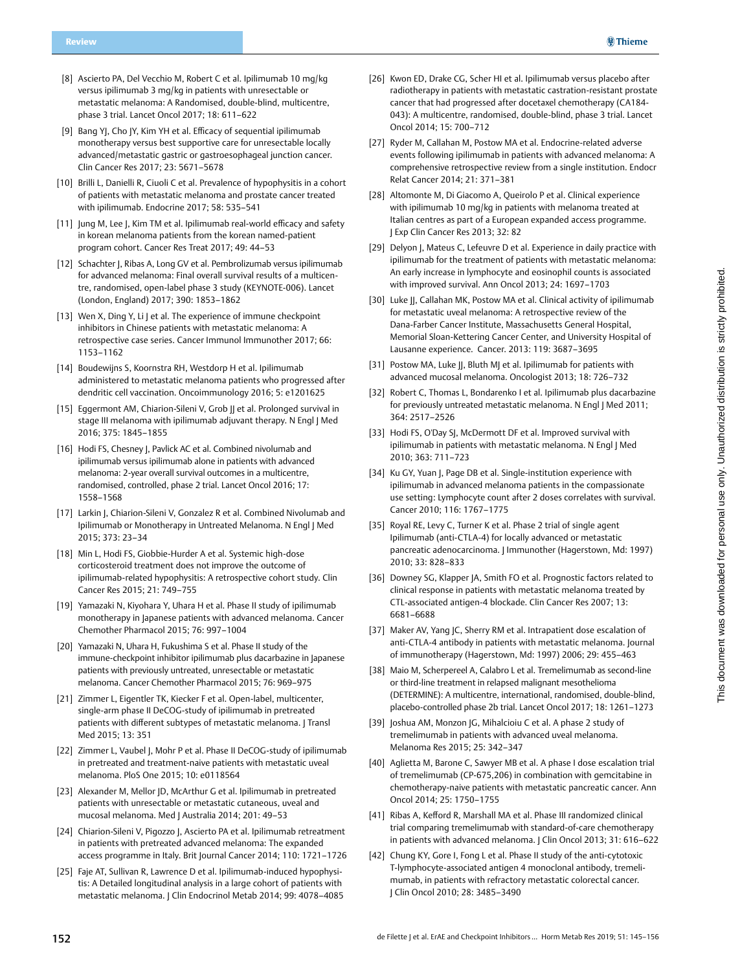- [8] Ascierto PA, Del Vecchio M, Robert C et al. Ipilimumab 10 mg/kg versus ipilimumab 3 mg/kg in patients with unresectable or metastatic melanoma: A Randomised, double-blind, multicentre, phase 3 trial. Lancet Oncol 2017; 18: 611–622
- [9] Bang YJ, Cho JY, Kim YH et al. Efficacy of sequential ipilimumab monotherapy versus best supportive care for unresectable locally advanced/metastatic gastric or gastroesophageal junction cancer. Clin Cancer Res 2017; 23: 5671–5678
- [10] Brilli L, Danielli R, Ciuoli C et al. Prevalence of hypophysitis in a cohort of patients with metastatic melanoma and prostate cancer treated with ipilimumab. Endocrine 2017; 58: 535–541
- [11] Jung M, Lee J, Kim TM et al. Ipilimumab real-world efficacy and safety in korean melanoma patients from the korean named-patient program cohort. Cancer Res Treat 2017; 49: 44–53
- [12] Schachter J, Ribas A, Long GV et al. Pembrolizumab versus ipilimumab for advanced melanoma: Final overall survival results of a multicentre, randomised, open-label phase 3 study (KEYNOTE-006). Lancet (London, England) 2017; 390: 1853–1862
- [13] Wen X, Ding Y, Li J et al. The experience of immune checkpoint inhibitors in Chinese patients with metastatic melanoma: A retrospective case series. Cancer Immunol Immunother 2017; 66: 1153–1162
- [14] Boudewijns S, Koornstra RH, Westdorp H et al. Ipilimumab administered to metastatic melanoma patients who progressed after dendritic cell vaccination. Oncoimmunology 2016; 5: e1201625
- [15] Eggermont AM, Chiarion-Sileni V, Grob JJ et al. Prolonged survival in stage III melanoma with ipilimumab adjuvant therapy. N Engl J Med 2016; 375: 1845–1855
- [16] Hodi FS, Chesney J, Pavlick AC et al. Combined nivolumab and ipilimumab versus ipilimumab alone in patients with advanced melanoma: 2-year overall survival outcomes in a multicentre, randomised, controlled, phase 2 trial. Lancet Oncol 2016; 17: 1558–1568
- [17] Larkin J, Chiarion-Sileni V, Gonzalez R et al. Combined Nivolumab and Ipilimumab or Monotherapy in Untreated Melanoma. N Engl J Med 2015; 373: 23–34
- [18] Min L, Hodi FS, Giobbie-Hurder A et al. Systemic high-dose corticosteroid treatment does not improve the outcome of ipilimumab-related hypophysitis: A retrospective cohort study. Clin Cancer Res 2015; 21: 749–755
- [19] Yamazaki N, Kiyohara Y, Uhara H et al. Phase II study of ipilimumab monotherapy in Japanese patients with advanced melanoma. Cancer Chemother Pharmacol 2015; 76: 997–1004
- [20] Yamazaki N, Uhara H, Fukushima S et al. Phase II study of the immune-checkpoint inhibitor ipilimumab plus dacarbazine in Japanese patients with previously untreated, unresectable or metastatic melanoma. Cancer Chemother Pharmacol 2015; 76: 969–975
- [21] Zimmer L, Eigentler TK, Kiecker F et al. Open-label, multicenter, single-arm phase II DeCOG-study of ipilimumab in pretreated patients with different subtypes of metastatic melanoma. J Transl Med 2015; 13: 351
- [22] Zimmer L, Vaubel J, Mohr P et al. Phase II DeCOG-study of ipilimumab in pretreated and treatment-naive patients with metastatic uveal melanoma. PloS One 2015; 10: e0118564
- [23] Alexander M, Mellor JD, McArthur G et al. Ipilimumab in pretreated patients with unresectable or metastatic cutaneous, uveal and mucosal melanoma. Med J Australia 2014; 201: 49–53
- [24] Chiarion-Sileni V, Pigozzo J, Ascierto PA et al. Ipilimumab retreatment in patients with pretreated advanced melanoma: The expanded access programme in Italy. Brit Journal Cancer 2014; 110: 1721–1726
- [25] Faje AT, Sullivan R, Lawrence D et al. Ipilimumab-induced hypophysitis: A Detailed longitudinal analysis in a large cohort of patients with metastatic melanoma. J Clin Endocrinol Metab 2014; 99: 4078–4085
- [26] Kwon ED, Drake CG, Scher HI et al. Ipilimumab versus placebo after radiotherapy in patients with metastatic castration-resistant prostate cancer that had progressed after docetaxel chemotherapy (CA184- 043): A multicentre, randomised, double-blind, phase 3 trial. Lancet Oncol 2014; 15: 700–712
- [27] Ryder M, Callahan M, Postow MA et al. Endocrine-related adverse events following ipilimumab in patients with advanced melanoma: A comprehensive retrospective review from a single institution. Endocr Relat Cancer 2014; 21: 371–381
- [28] Altomonte M, Di Giacomo A, Queirolo P et al. Clinical experience with ipilimumab 10 mg/kg in patients with melanoma treated at Italian centres as part of a European expanded access programme. J Exp Clin Cancer Res 2013; 32: 82
- [29] Delyon J, Mateus C, Lefeuvre D et al. Experience in daily practice with ipilimumab for the treatment of patients with metastatic melanoma: An early increase in lymphocyte and eosinophil counts is associated with improved survival. Ann Oncol 2013; 24: 1697–1703
- [30] Luke JJ, Callahan MK, Postow MA et al. Clinical activity of ipilimumab for metastatic uveal melanoma: A retrospective review of the Dana-Farber Cancer Institute, Massachusetts General Hospital, Memorial Sloan-Kettering Cancer Center, and University Hospital of Lausanne experience. Cancer. 2013: 119: 3687–3695
- [31] Postow MA, Luke JJ, Bluth MJ et al. Ipilimumab for patients with advanced mucosal melanoma. Oncologist 2013; 18: 726–732
- [32] Robert C, Thomas L, Bondarenko I et al. Ipilimumab plus dacarbazine for previously untreated metastatic melanoma. N Engl | Med 2011; 364: 2517–2526
- [33] Hodi FS, O'Day SJ, McDermott DF et al. Improved survival with ipilimumab in patients with metastatic melanoma. N Engl J Med 2010; 363: 711–723
- [34] Ku GY, Yuan J, Page DB et al. Single-institution experience with ipilimumab in advanced melanoma patients in the compassionate use setting: Lymphocyte count after 2 doses correlates with survival. Cancer 2010; 116: 1767–1775
- [35] Royal RE, Levy C, Turner K et al. Phase 2 trial of single agent Ipilimumab (anti-CTLA-4) for locally advanced or metastatic pancreatic adenocarcinoma. J Immunother (Hagerstown, Md: 1997) 2010; 33: 828–833
- [36] Downey SG, Klapper JA, Smith FO et al. Prognostic factors related to clinical response in patients with metastatic melanoma treated by CTL-associated antigen-4 blockade. Clin Cancer Res 2007; 13: 6681–6688
- [37] Maker AV, Yang JC, Sherry RM et al. Intrapatient dose escalation of anti-CTLA-4 antibody in patients with metastatic melanoma. Journal of immunotherapy (Hagerstown, Md: 1997) 2006; 29: 455–463
- [38] Maio M, Scherpereel A, Calabro L et al. Tremelimumab as second-line or third-line treatment in relapsed malignant mesothelioma (DETERMINE): A multicentre, international, randomised, double-blind, placebo-controlled phase 2b trial. Lancet Oncol 2017; 18: 1261–1273
- [39] Joshua AM, Monzon JG, Mihalcioiu C et al. A phase 2 study of tremelimumab in patients with advanced uveal melanoma. Melanoma Res 2015; 25: 342–347
- [40] Aglietta M, Barone C, Sawyer MB et al. A phase I dose escalation trial of tremelimumab (CP-675,206) in combination with gemcitabine in chemotherapy-naive patients with metastatic pancreatic cancer. Ann Oncol 2014; 25: 1750–1755
- [41] Ribas A, Kefford R, Marshall MA et al. Phase III randomized clinical trial comparing tremelimumab with standard-of-care chemotherapy in patients with advanced melanoma. J Clin Oncol 2013; 31: 616–622
- [42] Chung KY, Gore I, Fong L et al. Phase II study of the anti-cytotoxic T-lymphocyte-associated antigen 4 monoclonal antibody, tremelimumab, in patients with refractory metastatic colorectal cancer. J Clin Oncol 2010; 28: 3485–3490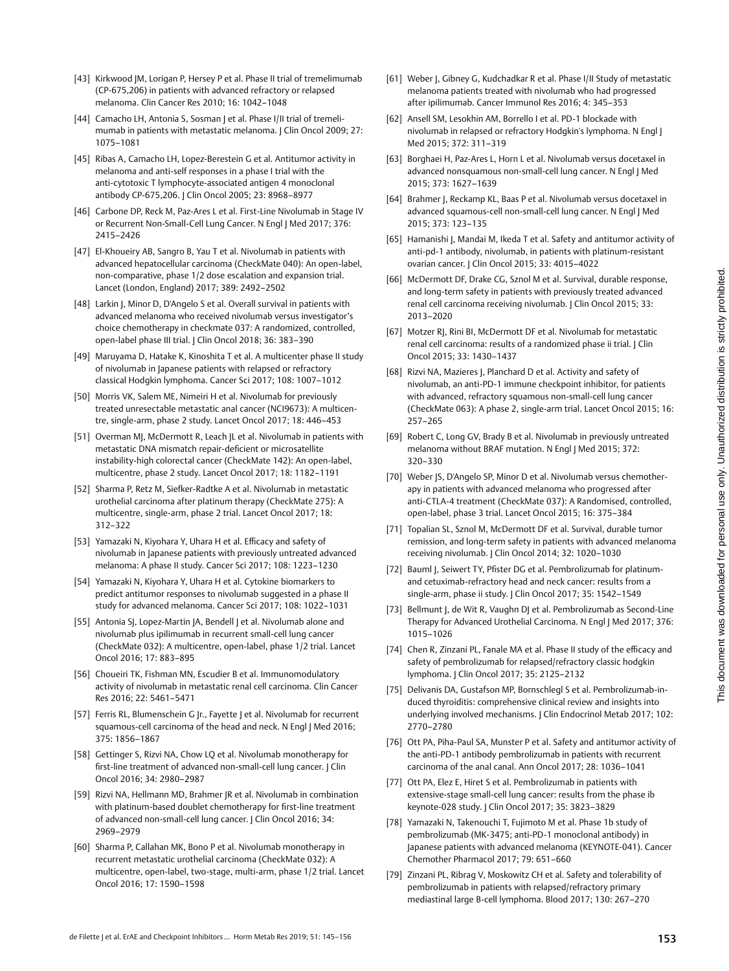- [43] Kirkwood JM, Lorigan P, Hersey P et al. Phase II trial of tremelimumab (CP-675,206) in patients with advanced refractory or relapsed melanoma. Clin Cancer Res 2010; 16: 1042–1048
- [44] Camacho LH, Antonia S, Sosman J et al. Phase I/II trial of tremelimumab in patients with metastatic melanoma. J Clin Oncol 2009; 27: 1075–1081
- [45] Ribas A, Camacho LH, Lopez-Berestein G et al. Antitumor activity in melanoma and anti-self responses in a phase I trial with the anti-cytotoxic T lymphocyte-associated antigen 4 monoclonal antibody CP-675,206. J Clin Oncol 2005; 23: 8968–8977
- [46] Carbone DP, Reck M, Paz-Ares L et al. First-Line Nivolumab in Stage IV or Recurrent Non-Small-Cell Lung Cancer. N Engl | Med 2017; 376: 2415–2426
- [47] El-Khoueiry AB, Sangro B, Yau T et al. Nivolumab in patients with advanced hepatocellular carcinoma (CheckMate 040): An open-label, non-comparative, phase 1/2 dose escalation and expansion trial. Lancet (London, England) 2017; 389: 2492–2502
- [48] Larkin J, Minor D, D'Angelo S et al. Overall survival in patients with advanced melanoma who received nivolumab versus investigator's choice chemotherapy in checkmate 037: A randomized, controlled, open-label phase III trial. J Clin Oncol 2018; 36: 383–390
- [49] Maruyama D, Hatake K, Kinoshita T et al. A multicenter phase II study of nivolumab in Japanese patients with relapsed or refractory classical Hodgkin lymphoma. Cancer Sci 2017; 108: 1007–1012
- [50] Morris VK, Salem ME, Nimeiri H et al. Nivolumab for previously treated unresectable metastatic anal cancer (NCI9673): A multicentre, single-arm, phase 2 study. Lancet Oncol 2017; 18: 446–453
- [51] Overman MJ, McDermott R, Leach IL et al. Nivolumab in patients with metastatic DNA mismatch repair-deficient or microsatellite instability-high colorectal cancer (CheckMate 142): An open-label, multicentre, phase 2 study. Lancet Oncol 2017; 18: 1182–1191
- [52] Sharma P, Retz M, Siefker-Radtke A et al. Nivolumab in metastatic urothelial carcinoma after platinum therapy (CheckMate 275): A multicentre, single-arm, phase 2 trial. Lancet Oncol 2017; 18: 312–322
- [53] Yamazaki N, Kiyohara Y, Uhara H et al. Efficacy and safety of nivolumab in Japanese patients with previously untreated advanced melanoma: A phase II study. Cancer Sci 2017; 108: 1223–1230
- [54] Yamazaki N, Kiyohara Y, Uhara H et al. Cytokine biomarkers to predict antitumor responses to nivolumab suggested in a phase II study for advanced melanoma. Cancer Sci 2017; 108: 1022–1031
- [55] Antonia SJ, Lopez-Martin JA, Bendell J et al. Nivolumab alone and nivolumab plus ipilimumab in recurrent small-cell lung cancer (CheckMate 032): A multicentre, open-label, phase 1/2 trial. Lancet Oncol 2016; 17: 883–895
- [56] Choueiri TK, Fishman MN, Escudier B et al. Immunomodulatory activity of nivolumab in metastatic renal cell carcinoma. Clin Cancer Res 2016; 22: 5461–5471
- [57] Ferris RL, Blumenschein G Jr., Fayette J et al. Nivolumab for recurrent squamous-cell carcinoma of the head and neck. N Engl I Med 2016: 375: 1856–1867
- [58] Gettinger S, Rizvi NA, Chow LQ et al. Nivolumab monotherapy for first-line treatment of advanced non-small-cell lung cancer. J Clin Oncol 2016; 34: 2980–2987
- [59] Rizvi NA, Hellmann MD, Brahmer JR et al. Nivolumab in combination with platinum-based doublet chemotherapy for first-line treatment of advanced non-small-cell lung cancer. | Clin Oncol 2016; 34: 2969–2979
- [60] Sharma P, Callahan MK, Bono P et al. Nivolumab monotherapy in recurrent metastatic urothelial carcinoma (CheckMate 032): A multicentre, open-label, two-stage, multi-arm, phase 1/2 trial. Lancet Oncol 2016; 17: 1590–1598
- [61] Weber J, Gibney G, Kudchadkar R et al. Phase I/II Study of metastatic melanoma patients treated with nivolumab who had progressed after ipilimumab. Cancer Immunol Res 2016; 4: 345–353
- [62] Ansell SM, Lesokhin AM, Borrello I et al. PD-1 blockade with nivolumab in relapsed or refractory Hodgkin's lymphoma. N Engl J Med 2015; 372: 311–319
- [63] Borghaei H, Paz-Ares L, Horn L et al. Nivolumab versus docetaxel in advanced nonsquamous non-small-cell lung cancer. N Engl J Med 2015; 373: 1627–1639
- [64] Brahmer J, Reckamp KL, Baas P et al. Nivolumab versus docetaxel in advanced squamous-cell non-small-cell lung cancer. N Engl | Med 2015; 373: 123–135
- [65] Hamanishi J, Mandai M, Ikeda T et al. Safety and antitumor activity of anti-pd-1 antibody, nivolumab, in patients with platinum-resistant ovarian cancer. J Clin Oncol 2015; 33: 4015–4022
- [66] McDermott DF, Drake CG, Sznol M et al. Survival, durable response, and long-term safety in patients with previously treated advanced renal cell carcinoma receiving nivolumab. J Clin Oncol 2015; 33: 2013–2020
- [67] Motzer RJ, Rini BI, McDermott DF et al. Nivolumab for metastatic renal cell carcinoma: results of a randomized phase ii trial. J Clin Oncol 2015; 33: 1430–1437
- [68] Rizvi NA, Mazieres J, Planchard D et al. Activity and safety of nivolumab, an anti-PD-1 immune checkpoint inhibitor, for patients with advanced, refractory squamous non-small-cell lung cancer (CheckMate 063): A phase 2, single-arm trial. Lancet Oncol 2015; 16: 257–265
- [69] Robert C, Long GV, Brady B et al. Nivolumab in previously untreated melanoma without BRAF mutation. N Engl J Med 2015; 372: 320–330
- [70] Weber JS, D'Angelo SP, Minor D et al. Nivolumab versus chemotherapy in patients with advanced melanoma who progressed after anti-CTLA-4 treatment (CheckMate 037): A Randomised, controlled, open-label, phase 3 trial. Lancet Oncol 2015; 16: 375–384
- [71] Topalian SL, Sznol M, McDermott DF et al. Survival, durable tumor remission, and long-term safety in patients with advanced melanoma receiving nivolumab. J Clin Oncol 2014; 32: 1020–1030
- [72] Bauml J, Seiwert TY, Pfister DG et al. Pembrolizumab for platinumand cetuximab-refractory head and neck cancer: results from a single-arm, phase ii study. J Clin Oncol 2017; 35: 1542–1549
- [73] Bellmunt J, de Wit R, Vaughn DJ et al. Pembrolizumab as Second-Line Therapy for Advanced Urothelial Carcinoma. N Engl J Med 2017; 376: 1015–1026
- [74] Chen R, Zinzani PL, Fanale MA et al. Phase II study of the efficacy and safety of pembrolizumab for relapsed/refractory classic hodgkin lymphoma. J Clin Oncol 2017; 35: 2125–2132
- [75] Delivanis DA, Gustafson MP, Bornschlegl S et al. Pembrolizumab-induced thyroiditis: comprehensive clinical review and insights into underlying involved mechanisms. J Clin Endocrinol Metab 2017; 102: 2770–2780
- [76] Ott PA, Piha-Paul SA, Munster P et al. Safety and antitumor activity of the anti-PD-1 antibody pembrolizumab in patients with recurrent carcinoma of the anal canal. Ann Oncol 2017; 28: 1036–1041
- [77] Ott PA, Elez E, Hiret S et al. Pembrolizumab in patients with extensive-stage small-cell lung cancer: results from the phase ib keynote-028 study. J Clin Oncol 2017; 35: 3823–3829
- [78] Yamazaki N, Takenouchi T, Fujimoto M et al. Phase 1b study of pembrolizumab (MK-3475; anti-PD-1 monoclonal antibody) in Japanese patients with advanced melanoma (KEYNOTE-041). Cancer Chemother Pharmacol 2017; 79: 651–660
- [79] Zinzani PL, Ribrag V, Moskowitz CH et al. Safety and tolerability of pembrolizumab in patients with relapsed/refractory primary mediastinal large B-cell lymphoma. Blood 2017; 130: 267–270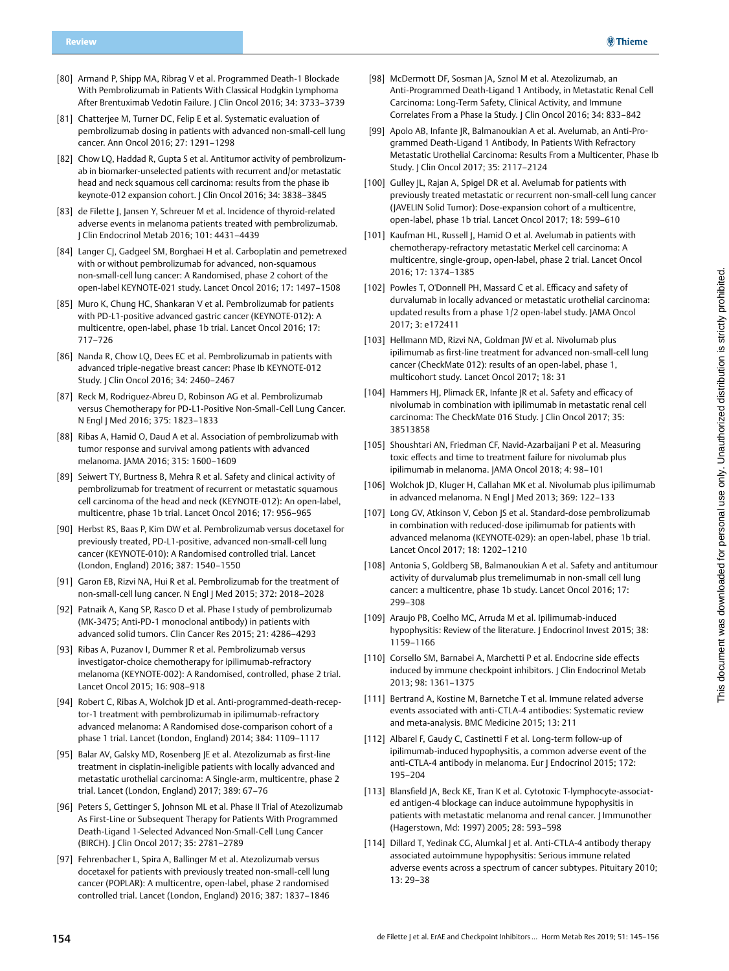- [80] Armand P, Shipp MA, Ribrag V et al. Programmed Death-1 Blockade With Pembrolizumab in Patients With Classical Hodgkin Lymphoma After Brentuximab Vedotin Failure. J Clin Oncol 2016; 34: 3733–3739
- [81] Chatterjee M, Turner DC, Felip E et al. Systematic evaluation of pembrolizumab dosing in patients with advanced non-small-cell lung cancer. Ann Oncol 2016; 27: 1291–1298
- [82] Chow LQ, Haddad R, Gupta S et al. Antitumor activity of pembrolizumab in biomarker-unselected patients with recurrent and/or metastatic head and neck squamous cell carcinoma: results from the phase ib keynote-012 expansion cohort. J Clin Oncol 2016; 34: 3838–3845
- [83] de Filette J, Jansen Y, Schreuer M et al. Incidence of thyroid-related adverse events in melanoma patients treated with pembrolizumab. J Clin Endocrinol Metab 2016; 101: 4431–4439
- [84] Langer CJ, Gadgeel SM, Borghaei H et al. Carboplatin and pemetrexed with or without pembrolizumab for advanced, non-squamous non-small-cell lung cancer: A Randomised, phase 2 cohort of the open-label KEYNOTE-021 study. Lancet Oncol 2016; 17: 1497–1508
- [85] Muro K, Chung HC, Shankaran V et al. Pembrolizumab for patients with PD-L1-positive advanced gastric cancer (KEYNOTE-012): A multicentre, open-label, phase 1b trial. Lancet Oncol 2016; 17: 717–726
- [86] Nanda R, Chow LQ, Dees EC et al. Pembrolizumab in patients with advanced triple-negative breast cancer: Phase Ib KEYNOTE-012 Study. J Clin Oncol 2016; 34: 2460–2467
- [87] Reck M, Rodriguez-Abreu D, Robinson AG et al. Pembrolizumab versus Chemotherapy for PD-L1-Positive Non-Small-Cell Lung Cancer. N Engl J Med 2016; 375: 1823–1833
- [88] Ribas A, Hamid O, Daud A et al. Association of pembrolizumab with tumor response and survival among patients with advanced melanoma. JAMA 2016; 315: 1600–1609
- [89] Seiwert TY, Burtness B, Mehra R et al. Safety and clinical activity of pembrolizumab for treatment of recurrent or metastatic squamous cell carcinoma of the head and neck (KEYNOTE-012): An open-label, multicentre, phase 1b trial. Lancet Oncol 2016; 17: 956–965
- [90] Herbst RS, Baas P, Kim DW et al. Pembrolizumab versus docetaxel for previously treated, PD-L1-positive, advanced non-small-cell lung cancer (KEYNOTE-010): A Randomised controlled trial. Lancet (London, England) 2016; 387: 1540–1550
- [91] Garon EB, Rizvi NA, Hui R et al. Pembrolizumab for the treatment of non-small-cell lung cancer. N Engl J Med 2015; 372: 2018–2028
- [92] Patnaik A, Kang SP, Rasco D et al. Phase I study of pembrolizumab (MK-3475; Anti-PD-1 monoclonal antibody) in patients with advanced solid tumors. Clin Cancer Res 2015; 21: 4286–4293
- [93] Ribas A, Puzanov I, Dummer R et al. Pembrolizumab versus investigator-choice chemotherapy for ipilimumab-refractory melanoma (KEYNOTE-002): A Randomised, controlled, phase 2 trial. Lancet Oncol 2015; 16: 908–918
- [94] Robert C, Ribas A, Wolchok JD et al. Anti-programmed-death-receptor-1 treatment with pembrolizumab in ipilimumab-refractory advanced melanoma: A Randomised dose-comparison cohort of a phase 1 trial. Lancet (London, England) 2014; 384: 1109–1117
- [95] Balar AV, Galsky MD, Rosenberg JE et al. Atezolizumab as first-line treatment in cisplatin-ineligible patients with locally advanced and metastatic urothelial carcinoma: A Single-arm, multicentre, phase 2 trial. Lancet (London, England) 2017; 389: 67–76
- [96] Peters S, Gettinger S, Johnson ML et al. Phase II Trial of Atezolizumab As First-Line or Subsequent Therapy for Patients With Programmed Death-Ligand 1-Selected Advanced Non-Small-Cell Lung Cancer (BIRCH). J Clin Oncol 2017; 35: 2781–2789
- [97] Fehrenbacher L, Spira A, Ballinger M et al. Atezolizumab versus docetaxel for patients with previously treated non-small-cell lung cancer (POPLAR): A multicentre, open-label, phase 2 randomised controlled trial. Lancet (London, England) 2016; 387: 1837–1846
- [98] McDermott DF, Sosman JA, Sznol M et al. Atezolizumab, an Anti-Programmed Death-Ligand 1 Antibody, in Metastatic Renal Cell Carcinoma: Long-Term Safety, Clinical Activity, and Immune Correlates From a Phase Ia Study. J Clin Oncol 2016; 34: 833–842
- [99] Apolo AB, Infante JR, Balmanoukian A et al. Avelumab, an Anti-Programmed Death-Ligand 1 Antibody, In Patients With Refractory Metastatic Urothelial Carcinoma: Results From a Multicenter, Phase Ib Study. J Clin Oncol 2017; 35: 2117–2124
- [100] Gulley JL, Rajan A, Spigel DR et al. Avelumab for patients with previously treated metastatic or recurrent non-small-cell lung cancer (JAVELIN Solid Tumor): Dose-expansion cohort of a multicentre, open-label, phase 1b trial. Lancet Oncol 2017; 18: 599–610
- [101] Kaufman HL, Russell J, Hamid O et al. Avelumab in patients with chemotherapy-refractory metastatic Merkel cell carcinoma: A multicentre, single-group, open-label, phase 2 trial. Lancet Oncol 2016; 17: 1374–1385
- [102] Powles T, O'Donnell PH, Massard C et al. Efficacy and safety of durvalumab in locally advanced or metastatic urothelial carcinoma: updated results from a phase 1/2 open-label study. JAMA Oncol 2017; 3: e172411
- [103] Hellmann MD, Rizvi NA, Goldman JW et al. Nivolumab plus ipilimumab as first-line treatment for advanced non-small-cell lung cancer (CheckMate 012): results of an open-label, phase 1, multicohort study. Lancet Oncol 2017; 18: 31
- [104] Hammers HJ, Plimack ER, Infante JR et al. Safety and efficacy of nivolumab in combination with ipilimumab in metastatic renal cell carcinoma: The CheckMate 016 Study. | Clin Oncol 2017; 35: 38513858
- [105] Shoushtari AN, Friedman CF, Navid-Azarbaijani P et al. Measuring toxic effects and time to treatment failure for nivolumab plus ipilimumab in melanoma. JAMA Oncol 2018; 4: 98–101
- [106] Wolchok JD, Kluger H, Callahan MK et al. Nivolumab plus ipilimumab in advanced melanoma. N Engl J Med 2013; 369: 122–133
- [107] Long GV, Atkinson V, Cebon JS et al. Standard-dose pembrolizumab in combination with reduced-dose ipilimumab for patients with advanced melanoma (KEYNOTE-029): an open-label, phase 1b trial. Lancet Oncol 2017; 18: 1202–1210
- [108] Antonia S, Goldberg SB, Balmanoukian A et al. Safety and antitumour activity of durvalumab plus tremelimumab in non-small cell lung cancer: a multicentre, phase 1b study. Lancet Oncol 2016; 17: 299–308
- [109] Araujo PB, Coelho MC, Arruda M et al. Ipilimumab-induced hypophysitis: Review of the literature. | Endocrinol Invest 2015; 38: 1159–1166
- [110] Corsello SM, Barnabei A, Marchetti P et al. Endocrine side effects induced by immune checkpoint inhibitors. | Clin Endocrinol Metab 2013; 98: 1361–1375
- [111] Bertrand A, Kostine M, Barnetche T et al. Immune related adverse events associated with anti-CTLA-4 antibodies: Systematic review and meta-analysis. BMC Medicine 2015; 13: 211
- [112] Albarel F, Gaudy C, Castinetti F et al. Long-term follow-up of ipilimumab-induced hypophysitis, a common adverse event of the anti-CTLA-4 antibody in melanoma. Eur J Endocrinol 2015; 172: 195–204
- [113] Blansfield JA, Beck KE, Tran K et al. Cytotoxic T-lymphocyte-associated antigen-4 blockage can induce autoimmune hypophysitis in patients with metastatic melanoma and renal cancer. J Immunother (Hagerstown, Md: 1997) 2005; 28: 593–598
- [114] Dillard T, Yedinak CG, Alumkal J et al. Anti-CTLA-4 antibody therapy associated autoimmune hypophysitis: Serious immune related adverse events across a spectrum of cancer subtypes. Pituitary 2010; 13: 29–38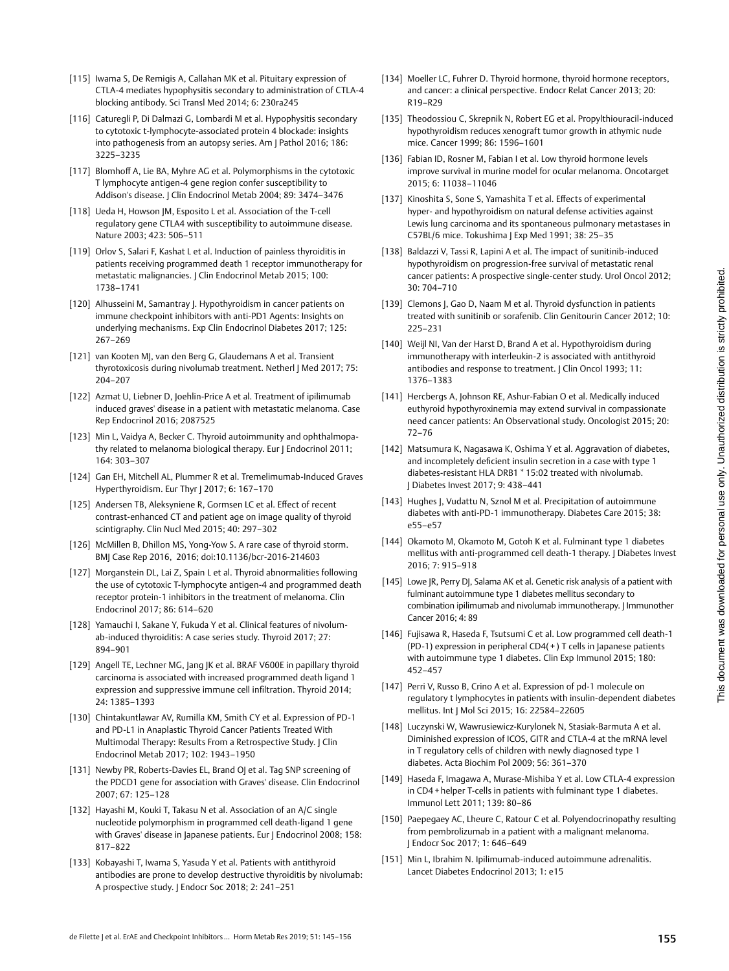- [115] Iwama S, De Remigis A, Callahan MK et al. Pituitary expression of CTLA-4 mediates hypophysitis secondary to administration of CTLA-4 blocking antibody. Sci Transl Med 2014; 6: 230ra245
- [116] Caturegli P, Di Dalmazi G, Lombardi M et al. Hypophysitis secondary to cytotoxic t-lymphocyte-associated protein 4 blockade: insights into pathogenesis from an autopsy series. Am J Pathol 2016; 186: 3225–3235
- [117] Blomhoff A, Lie BA, Myhre AG et al. Polymorphisms in the cytotoxic T lymphocyte antigen-4 gene region confer susceptibility to Addison's disease. | Clin Endocrinol Metab 2004; 89: 3474-3476
- [118] Ueda H, Howson JM, Esposito L et al. Association of the T-cell regulatory gene CTLA4 with susceptibility to autoimmune disease. Nature 2003; 423: 506–511
- [119] Orlov S, Salari F, Kashat L et al. Induction of painless thyroiditis in patients receiving programmed death 1 receptor immunotherapy for metastatic malignancies. J Clin Endocrinol Metab 2015; 100: 1738–1741
- [120] Alhusseini M, Samantray J. Hypothyroidism in cancer patients on immune checkpoint inhibitors with anti-PD1 Agents: Insights on underlying mechanisms. Exp Clin Endocrinol Diabetes 2017; 125: 267–269
- [121] van Kooten MJ, van den Berg G, Glaudemans A et al. Transient thyrotoxicosis during nivolumab treatment. Netherl | Med 2017; 75: 204–207
- [122] Azmat U, Liebner D, Joehlin-Price A et al. Treatment of ipilimumab induced graves' disease in a patient with metastatic melanoma. Case Rep Endocrinol 2016; 2087525
- [123] Min L, Vaidya A, Becker C. Thyroid autoimmunity and ophthalmopathy related to melanoma biological therapy. Eur J Endocrinol 2011; 164: 303–307
- [124] Gan EH, Mitchell AL, Plummer R et al. Tremelimumab-Induced Graves Hyperthyroidism. Eur Thyr | 2017; 6: 167-170
- [125] Andersen TB, Aleksyniene R, Gormsen LC et al. Effect of recent contrast-enhanced CT and patient age on image quality of thyroid scintigraphy. Clin Nucl Med 2015; 40: 297–302
- [126] McMillen B, Dhillon MS, Yong-Yow S. A rare case of thyroid storm. BMJ Case Rep 2016, 2016; doi:10.1136/bcr-2016-214603
- [127] Morganstein DL, Lai Z, Spain L et al. Thyroid abnormalities following the use of cytotoxic T-lymphocyte antigen-4 and programmed death receptor protein-1 inhibitors in the treatment of melanoma. Clin Endocrinol 2017; 86: 614–620
- [128] Yamauchi I, Sakane Y, Fukuda Y et al. Clinical features of nivolumab-induced thyroiditis: A case series study. Thyroid 2017; 27: 894–901
- [129] Angell TE, Lechner MG, Jang JK et al. BRAF V600E in papillary thyroid carcinoma is associated with increased programmed death ligand 1 expression and suppressive immune cell infiltration. Thyroid 2014; 24: 1385–1393
- [130] Chintakuntlawar AV, Rumilla KM, Smith CY et al. Expression of PD-1 and PD-L1 in Anaplastic Thyroid Cancer Patients Treated With Multimodal Therapy: Results From a Retrospective Study. J Clin Endocrinol Metab 2017; 102: 1943–1950
- [131] Newby PR, Roberts-Davies EL, Brand OJ et al. Tag SNP screening of the PDCD1 gene for association with Graves' disease. Clin Endocrinol 2007; 67: 125–128
- [132] Hayashi M, Kouki T, Takasu N et al. Association of an A/C single nucleotide polymorphism in programmed cell death-ligand 1 gene with Graves' disease in Japanese patients. Eur J Endocrinol 2008; 158: 817–822
- [133] Kobayashi T, Iwama S, Yasuda Y et al. Patients with antithyroid antibodies are prone to develop destructive thyroiditis by nivolumab: A prospective study. J Endocr Soc 2018; 2: 241–251
- [134] Moeller LC, Fuhrer D. Thyroid hormone, thyroid hormone receptors, and cancer: a clinical perspective. Endocr Relat Cancer 2013; 20: R19–R29
- [135] Theodossiou C, Skrepnik N, Robert EG et al. Propylthiouracil-induced hypothyroidism reduces xenograft tumor growth in athymic nude mice. Cancer 1999; 86: 1596–1601
- [136] Fabian ID, Rosner M, Fabian I et al. Low thyroid hormone levels improve survival in murine model for ocular melanoma. Oncotarget 2015; 6: 11038–11046
- [137] Kinoshita S, Sone S, Yamashita T et al. Effects of experimental hyper- and hypothyroidism on natural defense activities against Lewis lung carcinoma and its spontaneous pulmonary metastases in C57BL/6 mice. Tokushima J Exp Med 1991; 38: 25–35
- [138] Baldazzi V, Tassi R, Lapini A et al. The impact of sunitinib-induced hypothyroidism on progression-free survival of metastatic renal cancer patients: A prospective single-center study. Urol Oncol 2012; 30: 704–710
- [139] Clemons J, Gao D, Naam M et al. Thyroid dysfunction in patients treated with sunitinib or sorafenib. Clin Genitourin Cancer 2012; 10: 225–231
- [140] Weijl NI, Van der Harst D, Brand A et al. Hypothyroidism during immunotherapy with interleukin-2 is associated with antithyroid antibodies and response to treatment. J Clin Oncol 1993; 11: 1376–1383
- [141] Hercbergs A, Johnson RE, Ashur-Fabian O et al. Medically induced euthyroid hypothyroxinemia may extend survival in compassionate need cancer patients: An Observational study. Oncologist 2015; 20: 72–76
- [142] Matsumura K, Nagasawa K, Oshima Y et al. Aggravation of diabetes, and incompletely deficient insulin secretion in a case with type 1 diabetes-resistant HLA DRB1 \* 15:02 treated with nivolumab. J Diabetes Invest 2017; 9: 438–441
- [143] Hughes J, Vudattu N, Sznol M et al. Precipitation of autoimmune diabetes with anti-PD-1 immunotherapy. Diabetes Care 2015; 38: e55–e57
- [144] Okamoto M, Okamoto M, Gotoh K et al. Fulminant type 1 diabetes mellitus with anti-programmed cell death-1 therapy. J Diabetes Invest 2016; 7: 915–918
- [145] Lowe JR, Perry DJ, Salama AK et al. Genetic risk analysis of a patient with fulminant autoimmune type 1 diabetes mellitus secondary to combination ipilimumab and nivolumab immunotherapy. J Immunother Cancer 2016; 4: 89
- [146] Fujisawa R, Haseda F, Tsutsumi C et al. Low programmed cell death-1 (PD-1) expression in peripheral CD4( + ) T cells in Japanese patients with autoimmune type 1 diabetes. Clin Exp Immunol 2015; 180: 452–457
- [147] Perri V, Russo B, Crino A et al. Expression of pd-1 molecule on regulatory t lymphocytes in patients with insulin-dependent diabetes mellitus. Int J Mol Sci 2015; 16: 22584–22605
- [148] Luczynski W, Wawrusiewicz-Kurylonek N, Stasiak-Barmuta A et al. Diminished expression of ICOS, GITR and CTLA-4 at the mRNA level in T regulatory cells of children with newly diagnosed type 1 diabetes. Acta Biochim Pol 2009; 56: 361–370
- [149] Haseda F, Imagawa A, Murase-Mishiba Y et al. Low CTLA-4 expression in CD4 + helper T-cells in patients with fulminant type 1 diabetes. Immunol Lett 2011; 139: 80–86
- [150] Paepegaey AC, Lheure C, Ratour C et al. Polyendocrinopathy resulting from pembrolizumab in a patient with a malignant melanoma. J Endocr Soc 2017; 1: 646–649
- [151] Min L, Ibrahim N. Ipilimumab-induced autoimmune adrenalitis. Lancet Diabetes Endocrinol 2013; 1: e15